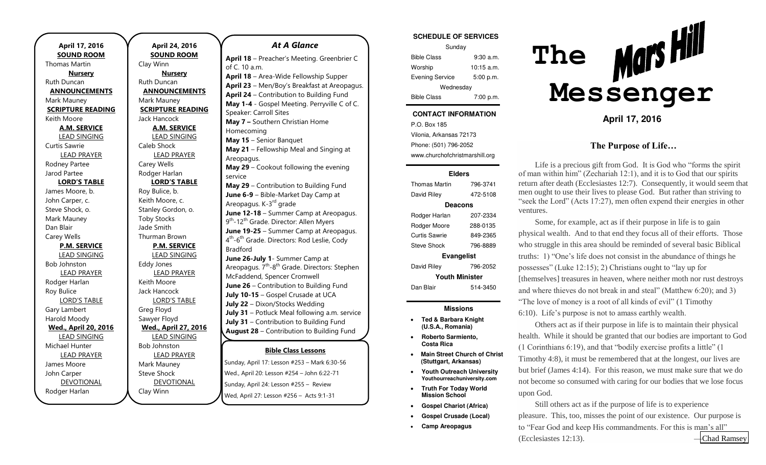**April 17, 2016 SOUND ROOM**  Thomas Martin **Nursery**  Ruth Duncan **ANNOUNCEMENTS**  Mark Mauney **SCRIPTURE READING**  Keith Moore **A.M. SERVICE**  LEAD SINGING Curtis Sawrie LEAD PRAYER Rodney Partee Jarod Partee **LORD'S TABLE** James Moore, b. John Carper, c. Steve Shock, o. Mark Mauney Dan Blair Carey Wells **P.M. SERVICE**  LEAD SINGING Bob Johnston LEAD PRAYER Rodger Harlan Roy Bulice LORD'S TABLE Gary Lambert Harold Moody **Wed., April 20, 2016**  LEAD SINGING Michael Hunter LEAD PRAYER James Moore John Carper DEVOTIONAL Rodger Harlan

**April 24, 2016 SOUND ROOM**  Clay Winn **Nursery**  Ruth Duncan **ANNOUNCEMENTS**  Mark Mauney **SCRIPTURE READING**  Jack Hancock **A.M. SERVICE**  LEAD SINGING Caleb Shock LEAD PRAYER Carey Wells Rodger Harlan **LORD'S TABLE** Roy Bulice, b. Keith Moore, c. Stanley Gordon, o. Toby Stocks Jade Smith Thurman Brown **P.M. SERVICE**  LEAD SINGING Eddy Jones LEAD PRAYER Keith Moore Jack Hancock LORD'S TABLE Greg Floyd Sawyer Floyd **Wed., April 27, 2016**  LEAD SINGING Bob Johnston LEAD PRAYER Mark Mauney Steve Shock DEVOTIONAL Clay Winn

#### *At A Glance*

**Bible Class Lessons** Sunday, April 17: Lesson #253 – Mark 6:30-56 – **April 18** – Preacher's Meeting. Greenbrier C of C. 10 a.m. **April 18** – Area-Wide Fellowship Supper **April 23** – Men/Boy's Breakfast at Areopagus. **April 24** – Contribution to Building Fund **May 1-4** - Gospel Meeting. Perryville C of C. Speaker: Carroll Sites **May 7 –** Southern Christian Home Homecoming **May 15** – Senior Banquet **May 21** – Fellowship Meal and Singing at Areopagus. **May 29** – Cookout following the evening service **May 29** – Contribution to Building Fund **June 6-9** – Bible-Market Day Camp at Areopagus. K-3<sup>rd</sup> grade **June 12-18** – Summer Camp at Areopagus. 9<sup>th</sup>-12<sup>th</sup> Grade. Director: Allen Myers **June 19-25** – Summer Camp at Areopagus. 4<sup>th</sup>-6<sup>th</sup> Grade. Directors: Rod Leslie, Cody Bradford **June 26-July 1**- Summer Camp at Areopagus.  $7<sup>th</sup> - 8<sup>th</sup>$  Grade. Directors: Stephen McFaddend, Spencer Cromwell **June 26** – Contribution to Building Fund **July 10-15** – Gospel Crusade at UCA **July 22** – Dixon/Stocks Wedding **July 31** – Potluck Meal following a.m. service **July 31** – Contribution to Building Fund **August 28** – Contribution to Building Fund **September 24** – Hunter/Murphy Wedding at

Wed., April 20: Lesson #254 – John 6:22-71 – Sunday, April 24: Lesson #255 – Review – Wed, April 27: Lesson #256 – Acts 9:1-31 –

#### **SCHEDULE OF SERVICES**

| Sunday                 |              |
|------------------------|--------------|
| <b>Bible Class</b>     | 9:30a.m.     |
| Worship                | $10:15$ a.m. |
| <b>Evening Service</b> | 5:00 p.m.    |
| Wednesday              |              |
| <b>Bible Class</b>     | 7:00 p.m.    |

### **CONTACT INFORMATION**

P.O. Box 185 Vilonia, Arkansas 72173 Phone: (501) 796-2052 www.churchofchristmarshill.org

#### **Elders**

Thomas Martin 796-3741 David Riley 472-5108 **Deacons**  Rodger Harlan 207-2334 Rodger Moore 288-0135 Curtis Sawrie 849-2365 Steve Shock 796-8889 **Evangelist**  David Riley 796-2052 **Youth Minister**  Dan Blair 514-3450

### **Missions**

- **Ted & Barbara Knight (U.S.A., Romania)**
- **Roberto Sarmiento, Costa Rica**
- **Main Street Church of Christ (Stuttgart, Arkansas)**
- **Youth Outreach University Youthourreachuniversity.com**
- **Truth For Today World Mission School**
- **Gospel Chariot (Africa)**
- **Gospel Crusade (Local)**
- **Camp Areopagus**



**April 17, 2016** 

### **The Purpose of Life…**

Life is a precious gift from God. It is God who "forms the spirit of man within him" (Zechariah 12:1), and it is to God that our spirits return after death (Ecclesiastes 12:7). Consequently, it would seem that men ought to use their lives to please God. But rather than striving to "seek the Lord" (Acts 17:27), men often expend their energies in other ventures.

Some, for example, act as if their purpose in life is to gain physical wealth. And to that end they focus all of their efforts. Those who struggle in this area should be reminded of several basic Biblical truths: 1) "One's life does not consist in the abundance of things he possesses" (Luke 12:15); 2) Christians ought to "lay up for [themselves] treasures in heaven, where neither moth nor rust destroys and where thieves do not break in and steal" (Matthew 6:20); and 3) "The love of money is a root of all kinds of evil" (1 Timothy 6:10). Life's purpose is not to amass earthly wealth.

Others act as if their purpose in life is to maintain their physical health. While it should be granted that our bodies are important to God (1 Corinthians 6:19), and that "bodily exercise profits a little" (1 Timothy 4:8), it must be remembered that at the longest, our lives are but brief (James 4:14). For this reason, we must make sure that we do not become so consumed with caring for our bodies that we lose focus upon God.

Still others act as if the purpose of life is to experience pleasure. This, too, misses the point of our existence. Our purpose is to "Fear God and keep His commandments. For this is man's all" (Ecclesiastes 12:13). —[Chad Ramsey](http://stores.gospeladvocate.com/search.php?search_query=chad+ramsey&x=-1021&y=-63)